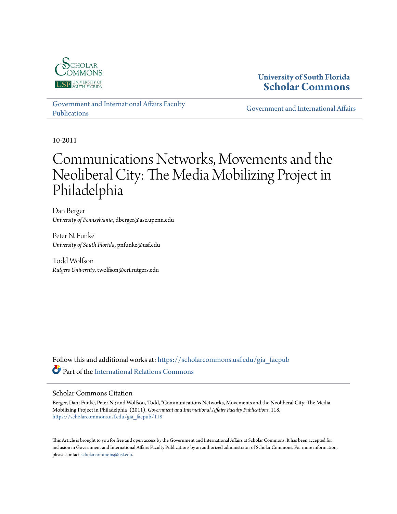

## **University of South Florida [Scholar Commons](https://scholarcommons.usf.edu?utm_source=scholarcommons.usf.edu%2Fgia_facpub%2F118&utm_medium=PDF&utm_campaign=PDFCoverPages)**

[Government and International Affairs Faculty](https://scholarcommons.usf.edu/gia_facpub?utm_source=scholarcommons.usf.edu%2Fgia_facpub%2F118&utm_medium=PDF&utm_campaign=PDFCoverPages) [Publications](https://scholarcommons.usf.edu/gia_facpub?utm_source=scholarcommons.usf.edu%2Fgia_facpub%2F118&utm_medium=PDF&utm_campaign=PDFCoverPages)

[Government and International Affairs](https://scholarcommons.usf.edu/gia?utm_source=scholarcommons.usf.edu%2Fgia_facpub%2F118&utm_medium=PDF&utm_campaign=PDFCoverPages)

10-2011

# Communications Networks, Movements and the Neoliberal City: The Media Mobilizing Project in Philadelphia

Dan Berger *University of Pennsylvania*, dberger@asc.upenn.edu

Peter N. Funke *University of South Florida*, pnfunke@usf.edu

Todd Wolfson *Rutgers University*, twolfson@cri.rutgers.edu

Follow this and additional works at: [https://scholarcommons.usf.edu/gia\\_facpub](https://scholarcommons.usf.edu/gia_facpub?utm_source=scholarcommons.usf.edu%2Fgia_facpub%2F118&utm_medium=PDF&utm_campaign=PDFCoverPages) Part of the [International Relations Commons](http://network.bepress.com/hgg/discipline/389?utm_source=scholarcommons.usf.edu%2Fgia_facpub%2F118&utm_medium=PDF&utm_campaign=PDFCoverPages)

#### Scholar Commons Citation

Berger, Dan; Funke, Peter N.; and Wolfson, Todd, "Communications Networks, Movements and the Neoliberal City: The Media Mobilizing Project in Philadelphia" (2011). *Government and International Affairs Faculty Publications*. 118. [https://scholarcommons.usf.edu/gia\\_facpub/118](https://scholarcommons.usf.edu/gia_facpub/118?utm_source=scholarcommons.usf.edu%2Fgia_facpub%2F118&utm_medium=PDF&utm_campaign=PDFCoverPages)

This Article is brought to you for free and open access by the Government and International Affairs at Scholar Commons. It has been accepted for inclusion in Government and International Affairs Faculty Publications by an authorized administrator of Scholar Commons. For more information, please contact [scholarcommons@usf.edu.](mailto:scholarcommons@usf.edu)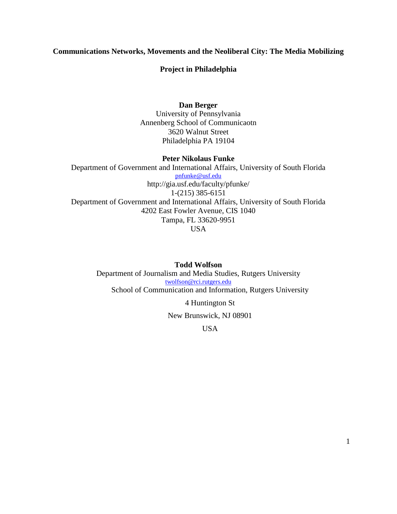## **Communications Networks, Movements and the Neoliberal City: The Media Mobilizing**

## **Project in Philadelphia**

## **Dan Berger**

University of Pennsylvania Annenberg School of Communicaotn 3620 Walnut Street Philadelphia PA 19104

## **Peter Nikolaus Funke**

Department of Government and International Affairs, University of South Florida [pnfunke@usf.edu](mailto:pnfunke@usf.edu) http://gia.usf.edu/faculty/pfunke/ 1-(215) 385-6151 Department of Government and International Affairs, University of South Florida 4202 East Fowler Avenue, CIS 1040 Tampa, FL 33620-9951 USA

**Todd Wolfson** Department of Journalism and Media Studies, Rutgers University [twolfson@rci.rutgers.edu](mailto:twolfson@rci.rutgers.edu) School of Communication and Information, Rutgers University

4 Huntington St

New Brunswick, NJ 08901

USA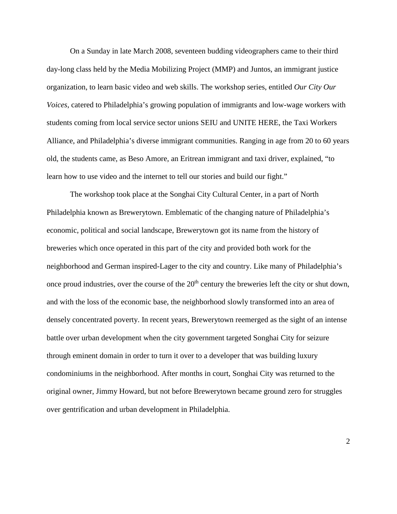On a Sunday in late March 2008, seventeen budding videographers came to their third day-long class held by the Media Mobilizing Project (MMP) and Juntos, an immigrant justice organization, to learn basic video and web skills. The workshop series, entitled *Our City Our Voices*, catered to Philadelphia's growing population of immigrants and low-wage workers with students coming from local service sector unions SEIU and UNITE HERE, the Taxi Workers Alliance, and Philadelphia's diverse immigrant communities. Ranging in age from 20 to 60 years old, the students came, as Beso Amore, an Eritrean immigrant and taxi driver, explained, "to learn how to use video and the internet to tell our stories and build our fight."

The workshop took place at the Songhai City Cultural Center, in a part of North Philadelphia known as Brewerytown. Emblematic of the changing nature of Philadelphia's economic, political and social landscape, Brewerytown got its name from the history of breweries which once operated in this part of the city and provided both work for the neighborhood and German inspired-Lager to the city and country. Like many of Philadelphia's once proud industries, over the course of the  $20<sup>th</sup>$  century the breweries left the city or shut down, and with the loss of the economic base, the neighborhood slowly transformed into an area of densely concentrated poverty. In recent years, Brewerytown reemerged as the sight of an intense battle over urban development when the city government targeted Songhai City for seizure through eminent domain in order to turn it over to a developer that was building luxury condominiums in the neighborhood. After months in court, Songhai City was returned to the original owner, Jimmy Howard, but not before Brewerytown became ground zero for struggles over gentrification and urban development in Philadelphia.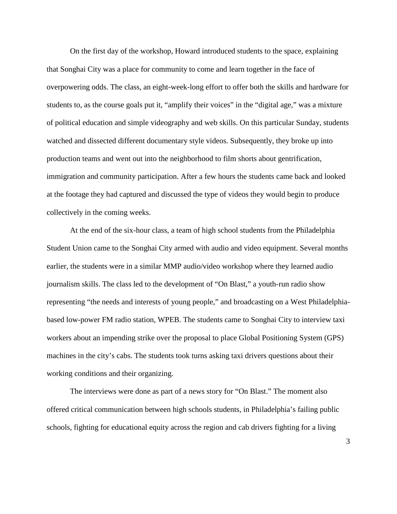On the first day of the workshop, Howard introduced students to the space, explaining that Songhai City was a place for community to come and learn together in the face of overpowering odds. The class, an eight-week-long effort to offer both the skills and hardware for students to, as the course goals put it, "amplify their voices" in the "digital age," was a mixture of political education and simple videography and web skills. On this particular Sunday, students watched and dissected different documentary style videos. Subsequently, they broke up into production teams and went out into the neighborhood to film shorts about gentrification, immigration and community participation. After a few hours the students came back and looked at the footage they had captured and discussed the type of videos they would begin to produce collectively in the coming weeks.

At the end of the six-hour class, a team of high school students from the Philadelphia Student Union came to the Songhai City armed with audio and video equipment. Several months earlier, the students were in a similar MMP audio/video workshop where they learned audio journalism skills. The class led to the development of "On Blast," a youth-run radio show representing "the needs and interests of young people," and broadcasting on a West Philadelphiabased low-power FM radio station, WPEB. The students came to Songhai City to interview taxi workers about an impending strike over the proposal to place Global Positioning System (GPS) machines in the city's cabs. The students took turns asking taxi drivers questions about their working conditions and their organizing.

The interviews were done as part of a news story for "On Blast." The moment also offered critical communication between high schools students, in Philadelphia's failing public schools, fighting for educational equity across the region and cab drivers fighting for a living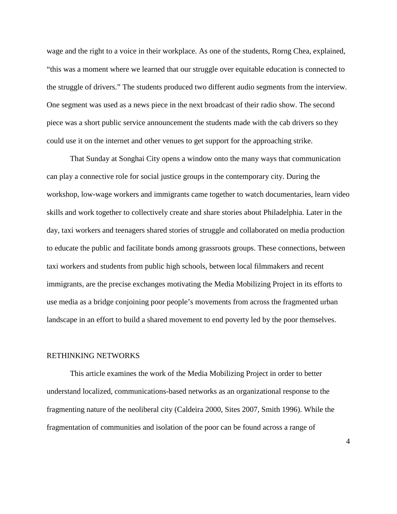wage and the right to a voice in their workplace. As one of the students, Rorng Chea, explained, "this was a moment where we learned that our struggle over equitable education is connected to the struggle of drivers." The students produced two different audio segments from the interview. One segment was used as a news piece in the next broadcast of their radio show. The second piece was a short public service announcement the students made with the cab drivers so they could use it on the internet and other venues to get support for the approaching strike.

That Sunday at Songhai City opens a window onto the many ways that communication can play a connective role for social justice groups in the contemporary city. During the workshop, low-wage workers and immigrants came together to watch documentaries, learn video skills and work together to collectively create and share stories about Philadelphia. Later in the day, taxi workers and teenagers shared stories of struggle and collaborated on media production to educate the public and facilitate bonds among grassroots groups. These connections, between taxi workers and students from public high schools, between local filmmakers and recent immigrants, are the precise exchanges motivating the Media Mobilizing Project in its efforts to use media as a bridge conjoining poor people's movements from across the fragmented urban landscape in an effort to build a shared movement to end poverty led by the poor themselves.

#### RETHINKING NETWORKS

This article examines the work of the Media Mobilizing Project in order to better understand localized, communications-based networks as an organizational response to the fragmenting nature of the neoliberal city (Caldeira 2000, Sites 2007, Smith 1996). While the fragmentation of communities and isolation of the poor can be found across a range of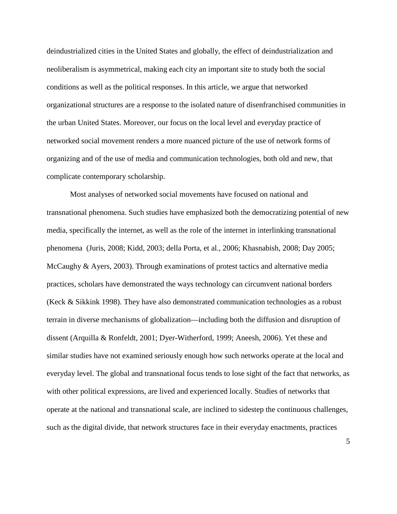deindustrialized cities in the United States and globally, the effect of deindustrialization and neoliberalism is asymmetrical, making each city an important site to study both the social conditions as well as the political responses. In this article, we argue that networked organizational structures are a response to the isolated nature of disenfranchised communities in the urban United States. Moreover, our focus on the local level and everyday practice of networked social movement renders a more nuanced picture of the use of network forms of organizing and of the use of media and communication technologies, both old and new, that complicate contemporary scholarship.

Most analyses of networked social movements have focused on national and transnational phenomena. Such studies have emphasized both the democratizing potential of new media, specifically the internet, as well as the role of the internet in interlinking transnational phenomena (Juris, 2008; Kidd, 2003; della Porta, et al., 2006; Khasnabish, 2008; Day 2005; McCaughy & Ayers, 2003). Through examinations of protest tactics and alternative media practices, scholars have demonstrated the ways technology can circumvent national borders (Keck & Sikkink 1998). They have also demonstrated communication technologies as a robust terrain in diverse mechanisms of globalization—including both the diffusion and disruption of dissent (Arquilla & Ronfeldt, 2001; Dyer-Witherford, 1999; Aneesh, 2006). Yet these and similar studies have not examined seriously enough how such networks operate at the local and everyday level. The global and transnational focus tends to lose sight of the fact that networks, as with other political expressions, are lived and experienced locally. Studies of networks that operate at the national and transnational scale, are inclined to sidestep the continuous challenges, such as the digital divide, that network structures face in their everyday enactments, practices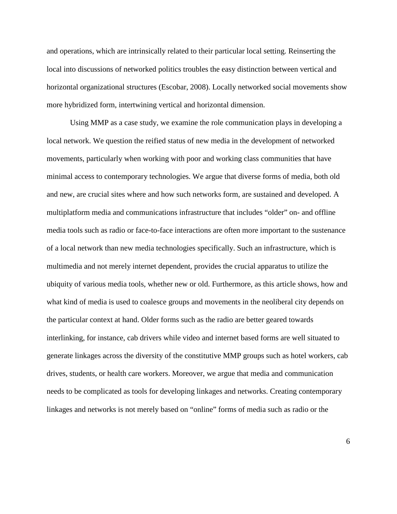and operations, which are intrinsically related to their particular local setting. Reinserting the local into discussions of networked politics troubles the easy distinction between vertical and horizontal organizational structures (Escobar, 2008). Locally networked social movements show more hybridized form, intertwining vertical and horizontal dimension.

Using MMP as a case study, we examine the role communication plays in developing a local network. We question the reified status of new media in the development of networked movements, particularly when working with poor and working class communities that have minimal access to contemporary technologies. We argue that diverse forms of media, both old and new, are crucial sites where and how such networks form, are sustained and developed. A multiplatform media and communications infrastructure that includes "older" on- and offline media tools such as radio or face-to-face interactions are often more important to the sustenance of a local network than new media technologies specifically. Such an infrastructure, which is multimedia and not merely internet dependent, provides the crucial apparatus to utilize the ubiquity of various media tools, whether new or old. Furthermore, as this article shows, how and what kind of media is used to coalesce groups and movements in the neoliberal city depends on the particular context at hand. Older forms such as the radio are better geared towards interlinking, for instance, cab drivers while video and internet based forms are well situated to generate linkages across the diversity of the constitutive MMP groups such as hotel workers, cab drives, students, or health care workers. Moreover, we argue that media and communication needs to be complicated as tools for developing linkages and networks. Creating contemporary linkages and networks is not merely based on "online" forms of media such as radio or the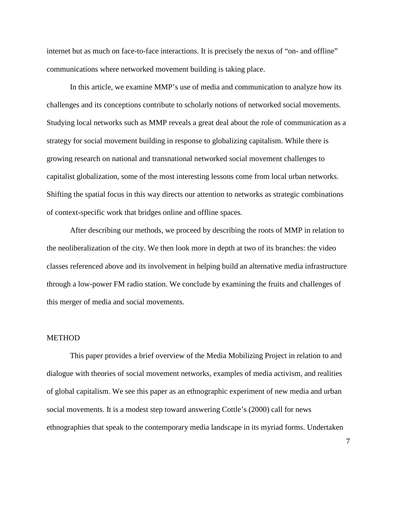internet but as much on face-to-face interactions. It is precisely the nexus of "on- and offline" communications where networked movement building is taking place.

In this article, we examine MMP's use of media and communication to analyze how its challenges and its conceptions contribute to scholarly notions of networked social movements. Studying local networks such as MMP reveals a great deal about the role of communication as a strategy for social movement building in response to globalizing capitalism. While there is growing research on national and transnational networked social movement challenges to capitalist globalization, some of the most interesting lessons come from local urban networks. Shifting the spatial focus in this way directs our attention to networks as strategic combinations of context-specific work that bridges online and offline spaces.

After describing our methods, we proceed by describing the roots of MMP in relation to the neoliberalization of the city. We then look more in depth at two of its branches: the video classes referenced above and its involvement in helping build an alternative media infrastructure through a low-power FM radio station. We conclude by examining the fruits and challenges of this merger of media and social movements.

#### METHOD

This paper provides a brief overview of the Media Mobilizing Project in relation to and dialogue with theories of social movement networks, examples of media activism, and realities of global capitalism. We see this paper as an ethnographic experiment of new media and urban social movements. It is a modest step toward answering Cottle's (2000) call for news ethnographies that speak to the contemporary media landscape in its myriad forms. Undertaken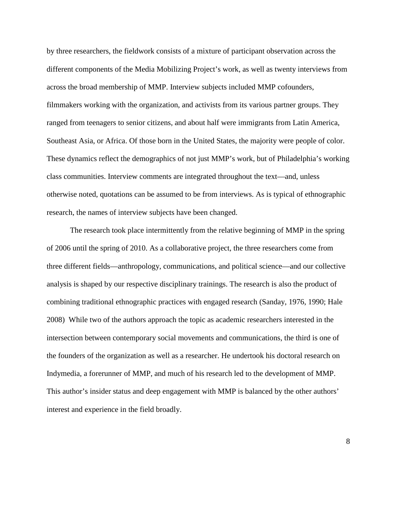by three researchers, the fieldwork consists of a mixture of participant observation across the different components of the Media Mobilizing Project's work, as well as twenty interviews from across the broad membership of MMP. Interview subjects included MMP cofounders, filmmakers working with the organization, and activists from its various partner groups. They ranged from teenagers to senior citizens, and about half were immigrants from Latin America, Southeast Asia, or Africa. Of those born in the United States, the majority were people of color. These dynamics reflect the demographics of not just MMP's work, but of Philadelphia's working class communities. Interview comments are integrated throughout the text—and, unless otherwise noted, quotations can be assumed to be from interviews. As is typical of ethnographic research, the names of interview subjects have been changed.

The research took place intermittently from the relative beginning of MMP in the spring of 2006 until the spring of 2010. As a collaborative project, the three researchers come from three different fields—anthropology, communications, and political science—and our collective analysis is shaped by our respective disciplinary trainings. The research is also the product of combining traditional ethnographic practices with engaged research (Sanday, 1976, 1990; Hale 2008) While two of the authors approach the topic as academic researchers interested in the intersection between contemporary social movements and communications, the third is one of the founders of the organization as well as a researcher. He undertook his doctoral research on Indymedia, a forerunner of MMP, and much of his research led to the development of MMP. This author's insider status and deep engagement with MMP is balanced by the other authors' interest and experience in the field broadly.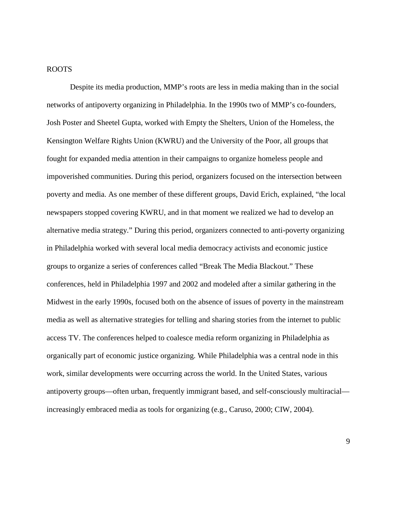## ROOTS

Despite its media production, MMP's roots are less in media making than in the social networks of antipoverty organizing in Philadelphia. In the 1990s two of MMP's co-founders, Josh Poster and Sheetel Gupta, worked with Empty the Shelters, Union of the Homeless, the Kensington Welfare Rights Union (KWRU) and the University of the Poor, all groups that fought for expanded media attention in their campaigns to organize homeless people and impoverished communities. During this period, organizers focused on the intersection between poverty and media. As one member of these different groups, David Erich, explained, "the local newspapers stopped covering KWRU, and in that moment we realized we had to develop an alternative media strategy." During this period, organizers connected to anti-poverty organizing in Philadelphia worked with several local media democracy activists and economic justice groups to organize a series of conferences called "Break The Media Blackout." These conferences, held in Philadelphia 1997 and 2002 and modeled after a similar gathering in the Midwest in the early 1990s, focused both on the absence of issues of poverty in the mainstream media as well as alternative strategies for telling and sharing stories from the internet to public access TV. The conferences helped to coalesce media reform organizing in Philadelphia as organically part of economic justice organizing. While Philadelphia was a central node in this work, similar developments were occurring across the world. In the United States, various antipoverty groups—often urban, frequently immigrant based, and self-consciously multiracial increasingly embraced media as tools for organizing (e.g., Caruso, 2000; CIW, 2004).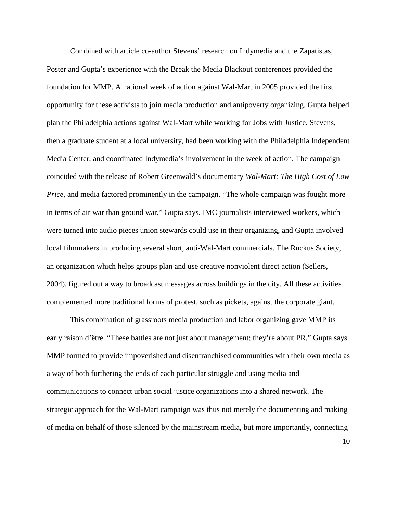Combined with article co-author Stevens' research on Indymedia and the Zapatistas, Poster and Gupta's experience with the Break the Media Blackout conferences provided the foundation for MMP. A national week of action against Wal-Mart in 2005 provided the first opportunity for these activists to join media production and antipoverty organizing. Gupta helped plan the Philadelphia actions against Wal-Mart while working for Jobs with Justice. Stevens, then a graduate student at a local university, had been working with the Philadelphia Independent Media Center, and coordinated Indymedia's involvement in the week of action. The campaign coincided with the release of Robert Greenwald's documentary *Wal-Mart: The High Cost of Low Price*, and media factored prominently in the campaign. "The whole campaign was fought more in terms of air war than ground war," Gupta says. IMC journalists interviewed workers, which were turned into audio pieces union stewards could use in their organizing, and Gupta involved local filmmakers in producing several short, anti-Wal-Mart commercials. The Ruckus Society, an organization which helps groups plan and use creative nonviolent direct action (Sellers, 2004), figured out a way to broadcast messages across buildings in the city. All these activities complemented more traditional forms of protest, such as pickets, against the corporate giant.

This combination of grassroots media production and labor organizing gave MMP its early raison d'être. "These battles are not just about management; they're about PR," Gupta says. MMP formed to provide impoverished and disenfranchised communities with their own media as a way of both furthering the ends of each particular struggle and using media and communications to connect urban social justice organizations into a shared network. The strategic approach for the Wal-Mart campaign was thus not merely the documenting and making of media on behalf of those silenced by the mainstream media, but more importantly, connecting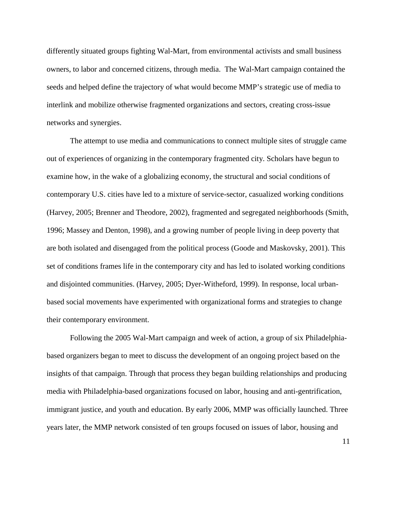differently situated groups fighting Wal-Mart, from environmental activists and small business owners, to labor and concerned citizens, through media. The Wal-Mart campaign contained the seeds and helped define the trajectory of what would become MMP's strategic use of media to interlink and mobilize otherwise fragmented organizations and sectors, creating cross-issue networks and synergies.

The attempt to use media and communications to connect multiple sites of struggle came out of experiences of organizing in the contemporary fragmented city. Scholars have begun to examine how, in the wake of a globalizing economy, the structural and social conditions of contemporary U.S. cities have led to a mixture of service-sector, casualized working conditions (Harvey, 2005; Brenner and Theodore, 2002), fragmented and segregated neighborhoods (Smith, 1996; Massey and Denton, 1998), and a growing number of people living in deep poverty that are both isolated and disengaged from the political process (Goode and Maskovsky, 2001). This set of conditions frames life in the contemporary city and has led to isolated working conditions and disjointed communities. (Harvey, 2005; Dyer-Witheford, 1999). In response, local urbanbased social movements have experimented with organizational forms and strategies to change their contemporary environment.

Following the 2005 Wal-Mart campaign and week of action, a group of six Philadelphiabased organizers began to meet to discuss the development of an ongoing project based on the insights of that campaign. Through that process they began building relationships and producing media with Philadelphia-based organizations focused on labor, housing and anti-gentrification, immigrant justice, and youth and education. By early 2006, MMP was officially launched. Three years later, the MMP network consisted of ten groups focused on issues of labor, housing and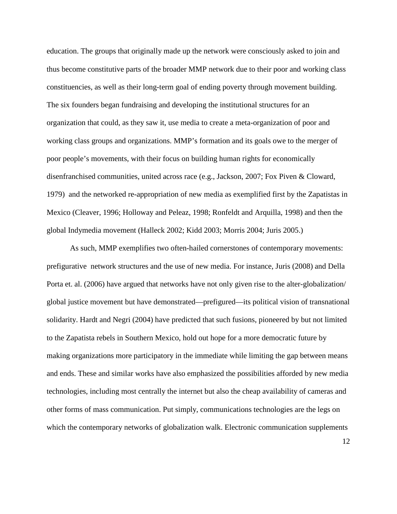education. The groups that originally made up the network were consciously asked to join and thus become constitutive parts of the broader MMP network due to their poor and working class constituencies, as well as their long-term goal of ending poverty through movement building. The six founders began fundraising and developing the institutional structures for an organization that could, as they saw it, use media to create a meta-organization of poor and working class groups and organizations. MMP's formation and its goals owe to the merger of poor people's movements, with their focus on building human rights for economically disenfranchised communities, united across race (e.g., Jackson, 2007; Fox Piven & Cloward, 1979) and the networked re-appropriation of new media as exemplified first by the Zapatistas in Mexico (Cleaver, 1996; Holloway and Peleaz, 1998; Ronfeldt and Arquilla, 1998) and then the global Indymedia movement (Halleck 2002; Kidd 2003; Morris 2004; Juris 2005.)

As such, MMP exemplifies two often-hailed cornerstones of contemporary movements: prefigurative network structures and the use of new media. For instance, Juris (2008) and Della Porta et. al. (2006) have argued that networks have not only given rise to the alter-globalization/ global justice movement but have demonstrated—prefigured—its political vision of transnational solidarity. Hardt and Negri (2004) have predicted that such fusions, pioneered by but not limited to the Zapatista rebels in Southern Mexico, hold out hope for a more democratic future by making organizations more participatory in the immediate while limiting the gap between means and ends. These and similar works have also emphasized the possibilities afforded by new media technologies, including most centrally the internet but also the cheap availability of cameras and other forms of mass communication. Put simply, communications technologies are the legs on which the contemporary networks of globalization walk. Electronic communication supplements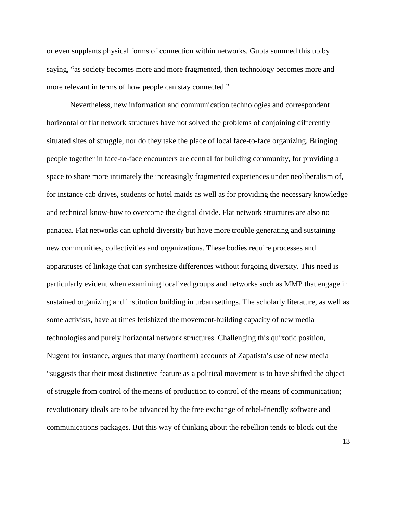or even supplants physical forms of connection within networks. Gupta summed this up by saying, "as society becomes more and more fragmented, then technology becomes more and more relevant in terms of how people can stay connected."

Nevertheless, new information and communication technologies and correspondent horizontal or flat network structures have not solved the problems of conjoining differently situated sites of struggle, nor do they take the place of local face-to-face organizing. Bringing people together in face-to-face encounters are central for building community, for providing a space to share more intimately the increasingly fragmented experiences under neoliberalism of, for instance cab drives, students or hotel maids as well as for providing the necessary knowledge and technical know-how to overcome the digital divide. Flat network structures are also no panacea. Flat networks can uphold diversity but have more trouble generating and sustaining new communities, collectivities and organizations. These bodies require processes and apparatuses of linkage that can synthesize differences without forgoing diversity. This need is particularly evident when examining localized groups and networks such as MMP that engage in sustained organizing and institution building in urban settings. The scholarly literature, as well as some activists, have at times fetishized the movement-building capacity of new media technologies and purely horizontal network structures. Challenging this quixotic position, Nugent for instance, argues that many (northern) accounts of Zapatista's use of new media "suggests that their most distinctive feature as a political movement is to have shifted the object of struggle from control of the means of production to control of the means of communication; revolutionary ideals are to be advanced by the free exchange of rebel-friendly software and communications packages. But this way of thinking about the rebellion tends to block out the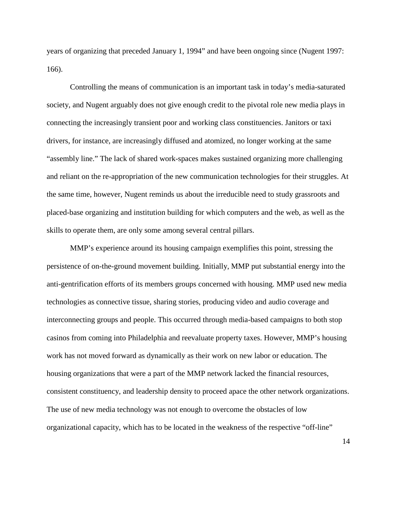years of organizing that preceded January 1, 1994" and have been ongoing since (Nugent 1997: 166).

Controlling the means of communication is an important task in today's media-saturated society, and Nugent arguably does not give enough credit to the pivotal role new media plays in connecting the increasingly transient poor and working class constituencies. Janitors or taxi drivers, for instance, are increasingly diffused and atomized, no longer working at the same "assembly line." The lack of shared work-spaces makes sustained organizing more challenging and reliant on the re-appropriation of the new communication technologies for their struggles. At the same time, however, Nugent reminds us about the irreducible need to study grassroots and placed-base organizing and institution building for which computers and the web, as well as the skills to operate them, are only some among several central pillars.

MMP's experience around its housing campaign exemplifies this point, stressing the persistence of on-the-ground movement building. Initially, MMP put substantial energy into the anti-gentrification efforts of its members groups concerned with housing. MMP used new media technologies as connective tissue, sharing stories, producing video and audio coverage and interconnecting groups and people. This occurred through media-based campaigns to both stop casinos from coming into Philadelphia and reevaluate property taxes. However, MMP's housing work has not moved forward as dynamically as their work on new labor or education. The housing organizations that were a part of the MMP network lacked the financial resources, consistent constituency, and leadership density to proceed apace the other network organizations. The use of new media technology was not enough to overcome the obstacles of low organizational capacity, which has to be located in the weakness of the respective "off-line"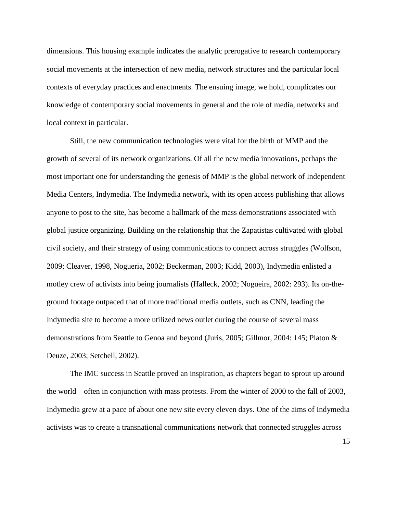dimensions. This housing example indicates the analytic prerogative to research contemporary social movements at the intersection of new media, network structures and the particular local contexts of everyday practices and enactments. The ensuing image, we hold, complicates our knowledge of contemporary social movements in general and the role of media, networks and local context in particular.

Still, the new communication technologies were vital for the birth of MMP and the growth of several of its network organizations. Of all the new media innovations, perhaps the most important one for understanding the genesis of MMP is the global network of Independent Media Centers, Indymedia. The Indymedia network, with its open access publishing that allows anyone to post to the site, has become a hallmark of the mass demonstrations associated with global justice organizing. Building on the relationship that the Zapatistas cultivated with global civil society, and their strategy of using communications to connect across struggles (Wolfson, 2009; Cleaver, 1998, Nogueria, 2002; Beckerman, 2003; Kidd, 2003), Indymedia enlisted a motley crew of activists into being journalists (Halleck, 2002; Nogueira, 2002: 293). Its on-theground footage outpaced that of more traditional media outlets, such as CNN, leading the Indymedia site to become a more utilized news outlet during the course of several mass demonstrations from Seattle to Genoa and beyond (Juris, 2005; Gillmor, 2004: 145; Platon & Deuze, 2003; Setchell, 2002).

The IMC success in Seattle proved an inspiration, as chapters began to sprout up around the world—often in conjunction with mass protests. From the winter of 2000 to the fall of 2003, Indymedia grew at a pace of about one new site every eleven days. One of the aims of Indymedia activists was to create a transnational communications network that connected struggles across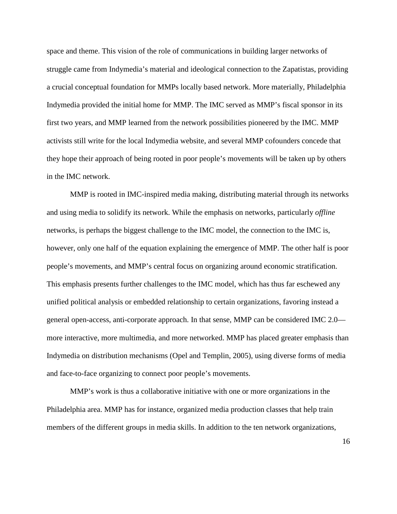space and theme. This vision of the role of communications in building larger networks of struggle came from Indymedia's material and ideological connection to the Zapatistas, providing a crucial conceptual foundation for MMPs locally based network. More materially, Philadelphia Indymedia provided the initial home for MMP. The IMC served as MMP's fiscal sponsor in its first two years, and MMP learned from the network possibilities pioneered by the IMC. MMP activists still write for the local Indymedia website, and several MMP cofounders concede that they hope their approach of being rooted in poor people's movements will be taken up by others in the IMC network.

MMP is rooted in IMC-inspired media making, distributing material through its networks and using media to solidify its network. While the emphasis on networks, particularly *offline*  networks, is perhaps the biggest challenge to the IMC model, the connection to the IMC is, however, only one half of the equation explaining the emergence of MMP. The other half is poor people's movements, and MMP's central focus on organizing around economic stratification. This emphasis presents further challenges to the IMC model, which has thus far eschewed any unified political analysis or embedded relationship to certain organizations, favoring instead a general open-access, anti-corporate approach. In that sense, MMP can be considered IMC 2.0 more interactive, more multimedia, and more networked. MMP has placed greater emphasis than Indymedia on distribution mechanisms (Opel and Templin, 2005), using diverse forms of media and face-to-face organizing to connect poor people's movements.

MMP's work is thus a collaborative initiative with one or more organizations in the Philadelphia area. MMP has for instance, organized media production classes that help train members of the different groups in media skills. In addition to the ten network organizations,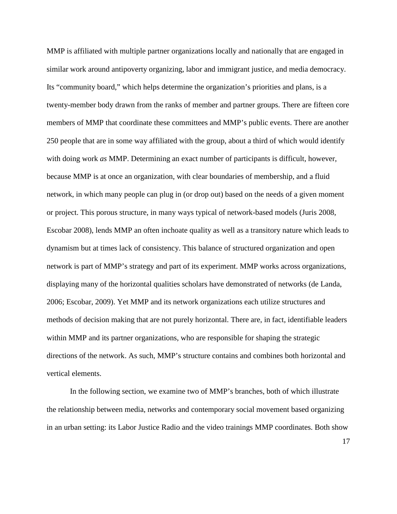MMP is affiliated with multiple partner organizations locally and nationally that are engaged in similar work around antipoverty organizing, labor and immigrant justice, and media democracy. Its "community board," which helps determine the organization's priorities and plans, is a twenty-member body drawn from the ranks of member and partner groups. There are fifteen core members of MMP that coordinate these committees and MMP's public events. There are another 250 people that are in some way affiliated with the group, about a third of which would identify with doing work *as* MMP. Determining an exact number of participants is difficult, however, because MMP is at once an organization, with clear boundaries of membership, and a fluid network, in which many people can plug in (or drop out) based on the needs of a given moment or project. This porous structure, in many ways typical of network-based models (Juris 2008, Escobar 2008), lends MMP an often inchoate quality as well as a transitory nature which leads to dynamism but at times lack of consistency. This balance of structured organization and open network is part of MMP's strategy and part of its experiment. MMP works across organizations, displaying many of the horizontal qualities scholars have demonstrated of networks (de Landa, 2006; Escobar, 2009). Yet MMP and its network organizations each utilize structures and methods of decision making that are not purely horizontal. There are, in fact, identifiable leaders within MMP and its partner organizations, who are responsible for shaping the strategic directions of the network. As such, MMP's structure contains and combines both horizontal and vertical elements.

In the following section, we examine two of MMP's branches, both of which illustrate the relationship between media, networks and contemporary social movement based organizing in an urban setting: its Labor Justice Radio and the video trainings MMP coordinates. Both show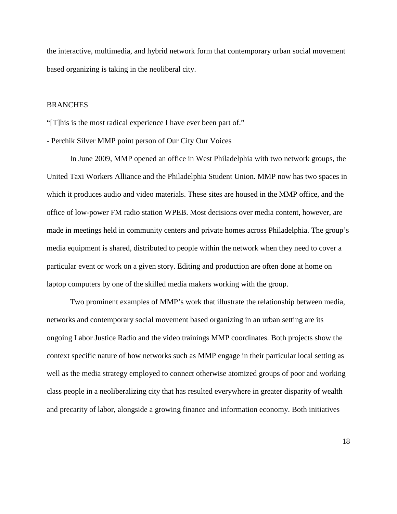the interactive, multimedia, and hybrid network form that contemporary urban social movement based organizing is taking in the neoliberal city.

## **BRANCHES**

"[T]his is the most radical experience I have ever been part of."

## - Perchik Silver MMP point person of Our City Our Voices

In June 2009, MMP opened an office in West Philadelphia with two network groups, the United Taxi Workers Alliance and the Philadelphia Student Union. MMP now has two spaces in which it produces audio and video materials. These sites are housed in the MMP office, and the office of low-power FM radio station WPEB. Most decisions over media content, however, are made in meetings held in community centers and private homes across Philadelphia. The group's media equipment is shared, distributed to people within the network when they need to cover a particular event or work on a given story. Editing and production are often done at home on laptop computers by one of the skilled media makers working with the group.

Two prominent examples of MMP's work that illustrate the relationship between media, networks and contemporary social movement based organizing in an urban setting are its ongoing Labor Justice Radio and the video trainings MMP coordinates. Both projects show the context specific nature of how networks such as MMP engage in their particular local setting as well as the media strategy employed to connect otherwise atomized groups of poor and working class people in a neoliberalizing city that has resulted everywhere in greater disparity of wealth and precarity of labor, alongside a growing finance and information economy. Both initiatives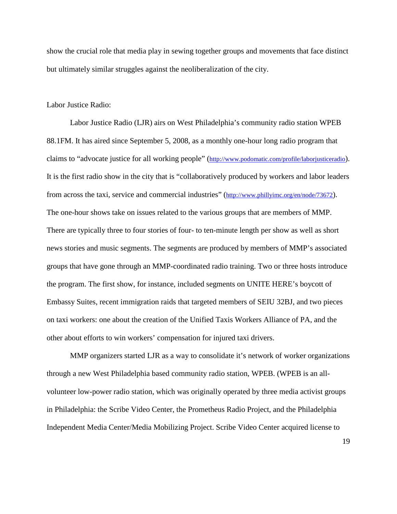show the crucial role that media play in sewing together groups and movements that face distinct but ultimately similar struggles against the neoliberalization of the city.

Labor Justice Radio:

Labor Justice Radio (LJR) airs on West Philadelphia's community radio station WPEB 88.1FM. It has aired since September 5, 2008, as a monthly one-hour long radio program that claims to "advocate justice for all working people" [\(http://www.podomatic.com/profile/laborjusticeradio\)](http://www.podomatic.com/profile/laborjusticeradio). It is the first radio show in the city that is "collaboratively produced by workers and labor leaders from across the taxi, service and commercial industries" [\(http://www.phillyimc.org/en/node/73672\)](http://www.phillyimc.org/en/node/73672). The one-hour shows take on issues related to the various groups that are members of MMP. There are typically three to four stories of four- to ten-minute length per show as well as short news stories and music segments. The segments are produced by members of MMP's associated groups that have gone through an MMP-coordinated radio training. Two or three hosts introduce the program. The first show, for instance, included segments on UNITE HERE's boycott of Embassy Suites, recent immigration raids that targeted members of SEIU 32BJ, and two pieces on taxi workers: one about the creation of the Unified Taxis Workers Alliance of PA, and the other about efforts to win workers' compensation for injured taxi drivers.

MMP organizers started LJR as a way to consolidate it's network of worker organizations through a new West Philadelphia based community radio station, WPEB. (WPEB is an allvolunteer low-power radio station, which was originally operated by three media activist groups in Philadelphia: the Scribe Video Center, the Prometheus Radio Project, and the Philadelphia Independent Media Center/Media Mobilizing Project. Scribe Video Center acquired license to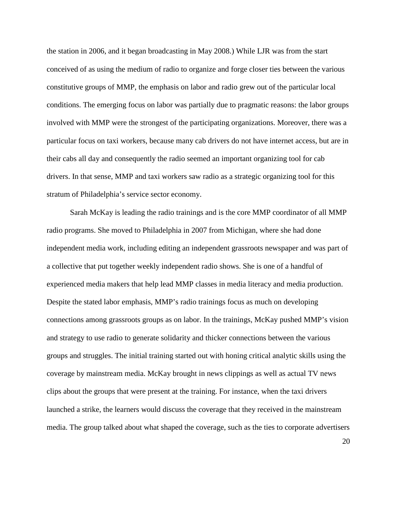the station in 2006, and it began broadcasting in May 2008.) While LJR was from the start conceived of as using the medium of radio to organize and forge closer ties between the various constitutive groups of MMP, the emphasis on labor and radio grew out of the particular local conditions. The emerging focus on labor was partially due to pragmatic reasons: the labor groups involved with MMP were the strongest of the participating organizations. Moreover, there was a particular focus on taxi workers, because many cab drivers do not have internet access, but are in their cabs all day and consequently the radio seemed an important organizing tool for cab drivers. In that sense, MMP and taxi workers saw radio as a strategic organizing tool for this stratum of Philadelphia's service sector economy.

Sarah McKay is leading the radio trainings and is the core MMP coordinator of all MMP radio programs. She moved to Philadelphia in 2007 from Michigan, where she had done independent media work, including editing an independent grassroots newspaper and was part of a collective that put together weekly independent radio shows. She is one of a handful of experienced media makers that help lead MMP classes in media literacy and media production. Despite the stated labor emphasis, MMP's radio trainings focus as much on developing connections among grassroots groups as on labor. In the trainings, McKay pushed MMP's vision and strategy to use radio to generate solidarity and thicker connections between the various groups and struggles. The initial training started out with honing critical analytic skills using the coverage by mainstream media. McKay brought in news clippings as well as actual TV news clips about the groups that were present at the training. For instance, when the taxi drivers launched a strike, the learners would discuss the coverage that they received in the mainstream media. The group talked about what shaped the coverage, such as the ties to corporate advertisers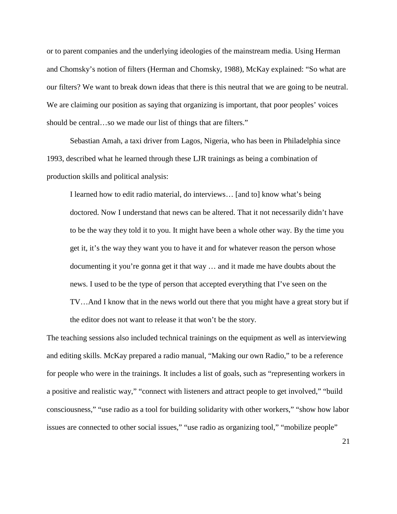or to parent companies and the underlying ideologies of the mainstream media. Using Herman and Chomsky's notion of filters (Herman and Chomsky, 1988), McKay explained: "So what are our filters? We want to break down ideas that there is this neutral that we are going to be neutral. We are claiming our position as saying that organizing is important, that poor peoples' voices should be central…so we made our list of things that are filters."

Sebastian Amah, a taxi driver from Lagos, Nigeria, who has been in Philadelphia since 1993, described what he learned through these LJR trainings as being a combination of production skills and political analysis:

I learned how to edit radio material, do interviews… [and to] know what's being doctored. Now I understand that news can be altered. That it not necessarily didn't have to be the way they told it to you. It might have been a whole other way. By the time you get it, it's the way they want you to have it and for whatever reason the person whose documenting it you're gonna get it that way … and it made me have doubts about the news. I used to be the type of person that accepted everything that I've seen on the TV…And I know that in the news world out there that you might have a great story but if the editor does not want to release it that won't be the story.

The teaching sessions also included technical trainings on the equipment as well as interviewing and editing skills. McKay prepared a radio manual, "Making our own Radio," to be a reference for people who were in the trainings. It includes a list of goals, such as "representing workers in a positive and realistic way," "connect with listeners and attract people to get involved," "build consciousness," "use radio as a tool for building solidarity with other workers," "show how labor issues are connected to other social issues," "use radio as organizing tool," "mobilize people"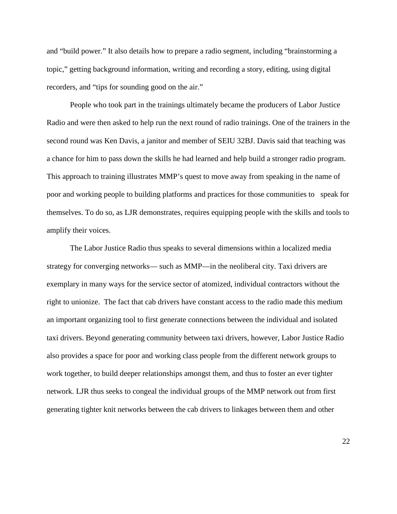and "build power." It also details how to prepare a radio segment, including "brainstorming a topic," getting background information, writing and recording a story, editing, using digital recorders, and "tips for sounding good on the air."

People who took part in the trainings ultimately became the producers of Labor Justice Radio and were then asked to help run the next round of radio trainings. One of the trainers in the second round was Ken Davis, a janitor and member of SEIU 32BJ. Davis said that teaching was a chance for him to pass down the skills he had learned and help build a stronger radio program. This approach to training illustrates MMP's quest to move away from speaking in the name of poor and working people to building platforms and practices for those communities to speak for themselves. To do so, as LJR demonstrates, requires equipping people with the skills and tools to amplify their voices.

The Labor Justice Radio thus speaks to several dimensions within a localized media strategy for converging networks— such as MMP—in the neoliberal city. Taxi drivers are exemplary in many ways for the service sector of atomized, individual contractors without the right to unionize. The fact that cab drivers have constant access to the radio made this medium an important organizing tool to first generate connections between the individual and isolated taxi drivers. Beyond generating community between taxi drivers, however, Labor Justice Radio also provides a space for poor and working class people from the different network groups to work together, to build deeper relationships amongst them, and thus to foster an ever tighter network. LJR thus seeks to congeal the individual groups of the MMP network out from first generating tighter knit networks between the cab drivers to linkages between them and other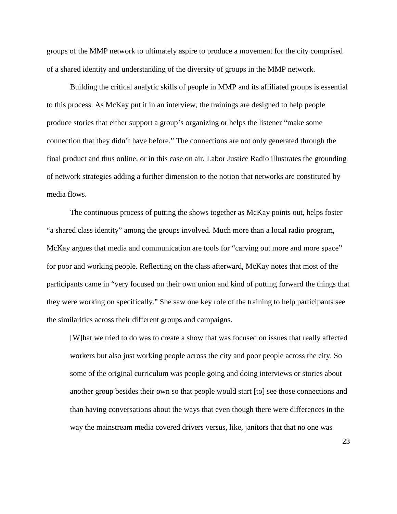groups of the MMP network to ultimately aspire to produce a movement for the city comprised of a shared identity and understanding of the diversity of groups in the MMP network.

Building the critical analytic skills of people in MMP and its affiliated groups is essential to this process. As McKay put it in an interview, the trainings are designed to help people produce stories that either support a group's organizing or helps the listener "make some connection that they didn't have before." The connections are not only generated through the final product and thus online, or in this case on air. Labor Justice Radio illustrates the grounding of network strategies adding a further dimension to the notion that networks are constituted by media flows.

The continuous process of putting the shows together as McKay points out, helps foster "a shared class identity" among the groups involved. Much more than a local radio program, McKay argues that media and communication are tools for "carving out more and more space" for poor and working people. Reflecting on the class afterward, McKay notes that most of the participants came in "very focused on their own union and kind of putting forward the things that they were working on specifically." She saw one key role of the training to help participants see the similarities across their different groups and campaigns.

[W]hat we tried to do was to create a show that was focused on issues that really affected workers but also just working people across the city and poor people across the city. So some of the original curriculum was people going and doing interviews or stories about another group besides their own so that people would start [to] see those connections and than having conversations about the ways that even though there were differences in the way the mainstream media covered drivers versus, like, janitors that that no one was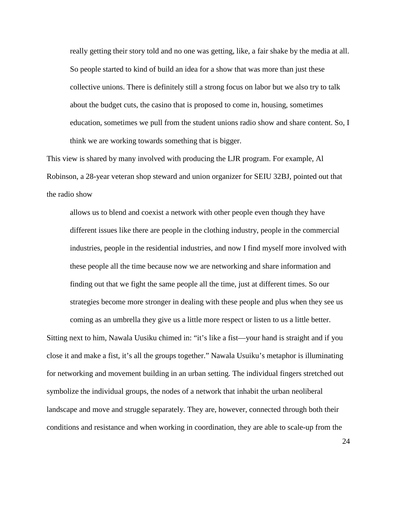really getting their story told and no one was getting, like, a fair shake by the media at all. So people started to kind of build an idea for a show that was more than just these collective unions. There is definitely still a strong focus on labor but we also try to talk about the budget cuts, the casino that is proposed to come in, housing, sometimes education, sometimes we pull from the student unions radio show and share content. So, I think we are working towards something that is bigger.

This view is shared by many involved with producing the LJR program. For example, Al Robinson, a 28-year veteran shop steward and union organizer for SEIU 32BJ, pointed out that the radio show

allows us to blend and coexist a network with other people even though they have different issues like there are people in the clothing industry, people in the commercial industries, people in the residential industries, and now I find myself more involved with these people all the time because now we are networking and share information and finding out that we fight the same people all the time, just at different times. So our strategies become more stronger in dealing with these people and plus when they see us coming as an umbrella they give us a little more respect or listen to us a little better.

Sitting next to him, Nawala Uusiku chimed in: "it's like a fist—your hand is straight and if you close it and make a fist, it's all the groups together." Nawala Usuiku's metaphor is illuminating for networking and movement building in an urban setting. The individual fingers stretched out symbolize the individual groups, the nodes of a network that inhabit the urban neoliberal landscape and move and struggle separately. They are, however, connected through both their conditions and resistance and when working in coordination, they are able to scale-up from the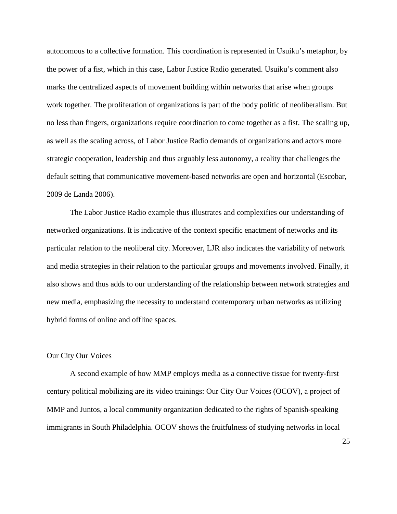autonomous to a collective formation. This coordination is represented in Usuiku's metaphor, by the power of a fist, which in this case, Labor Justice Radio generated. Usuiku's comment also marks the centralized aspects of movement building within networks that arise when groups work together. The proliferation of organizations is part of the body politic of neoliberalism. But no less than fingers, organizations require coordination to come together as a fist. The scaling up, as well as the scaling across, of Labor Justice Radio demands of organizations and actors more strategic cooperation, leadership and thus arguably less autonomy, a reality that challenges the default setting that communicative movement-based networks are open and horizontal (Escobar, 2009 de Landa 2006).

The Labor Justice Radio example thus illustrates and complexifies our understanding of networked organizations. It is indicative of the context specific enactment of networks and its particular relation to the neoliberal city. Moreover, LJR also indicates the variability of network and media strategies in their relation to the particular groups and movements involved. Finally, it also shows and thus adds to our understanding of the relationship between network strategies and new media, emphasizing the necessity to understand contemporary urban networks as utilizing hybrid forms of online and offline spaces.

## Our City Our Voices

A second example of how MMP employs media as a connective tissue for twenty-first century political mobilizing are its video trainings: Our City Our Voices (OCOV), a project of MMP and Juntos, a local community organization dedicated to the rights of Spanish-speaking immigrants in South Philadelphia. OCOV shows the fruitfulness of studying networks in local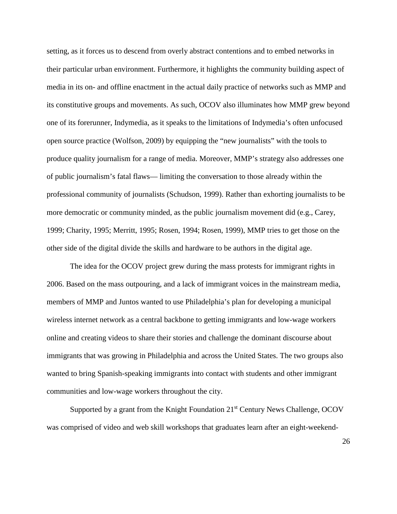setting, as it forces us to descend from overly abstract contentions and to embed networks in their particular urban environment. Furthermore, it highlights the community building aspect of media in its on- and offline enactment in the actual daily practice of networks such as MMP and its constitutive groups and movements. As such, OCOV also illuminates how MMP grew beyond one of its forerunner, Indymedia, as it speaks to the limitations of Indymedia's often unfocused open source practice (Wolfson, 2009) by equipping the "new journalists" with the tools to produce quality journalism for a range of media. Moreover, MMP's strategy also addresses one of public journalism's fatal flaws— limiting the conversation to those already within the professional community of journalists (Schudson, 1999). Rather than exhorting journalists to be more democratic or community minded, as the public journalism movement did (e.g., Carey, 1999; Charity, 1995; Merritt, 1995; Rosen, 1994; Rosen, 1999), MMP tries to get those on the other side of the digital divide the skills and hardware to be authors in the digital age.

The idea for the OCOV project grew during the mass protests for immigrant rights in 2006. Based on the mass outpouring, and a lack of immigrant voices in the mainstream media, members of MMP and Juntos wanted to use Philadelphia's plan for developing a municipal wireless internet network as a central backbone to getting immigrants and low-wage workers online and creating videos to share their stories and challenge the dominant discourse about immigrants that was growing in Philadelphia and across the United States. The two groups also wanted to bring Spanish-speaking immigrants into contact with students and other immigrant communities and low-wage workers throughout the city.

Supported by a grant from the Knight Foundation  $21<sup>st</sup>$  Century News Challenge, OCOV was comprised of video and web skill workshops that graduates learn after an eight-weekend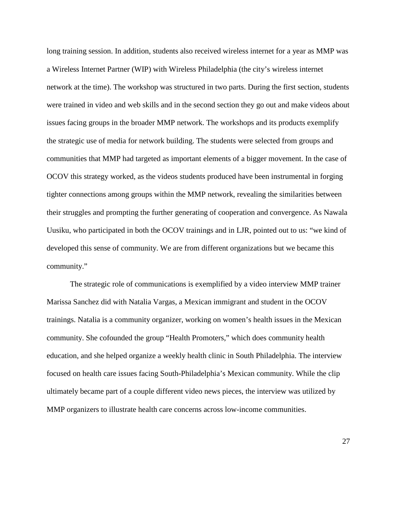long training session. In addition, students also received wireless internet for a year as MMP was a Wireless Internet Partner (WIP) with Wireless Philadelphia (the city's wireless internet network at the time). The workshop was structured in two parts. During the first section, students were trained in video and web skills and in the second section they go out and make videos about issues facing groups in the broader MMP network. The workshops and its products exemplify the strategic use of media for network building. The students were selected from groups and communities that MMP had targeted as important elements of a bigger movement. In the case of OCOV this strategy worked, as the videos students produced have been instrumental in forging tighter connections among groups within the MMP network, revealing the similarities between their struggles and prompting the further generating of cooperation and convergence. As Nawala Uusiku, who participated in both the OCOV trainings and in LJR, pointed out to us: "we kind of developed this sense of community. We are from different organizations but we became this community."

The strategic role of communications is exemplified by a video interview MMP trainer Marissa Sanchez did with Natalia Vargas, a Mexican immigrant and student in the OCOV trainings. Natalia is a community organizer, working on women's health issues in the Mexican community. She cofounded the group "Health Promoters," which does community health education, and she helped organize a weekly health clinic in South Philadelphia. The interview focused on health care issues facing South-Philadelphia's Mexican community. While the clip ultimately became part of a couple different video news pieces, the interview was utilized by MMP organizers to illustrate health care concerns across low-income communities.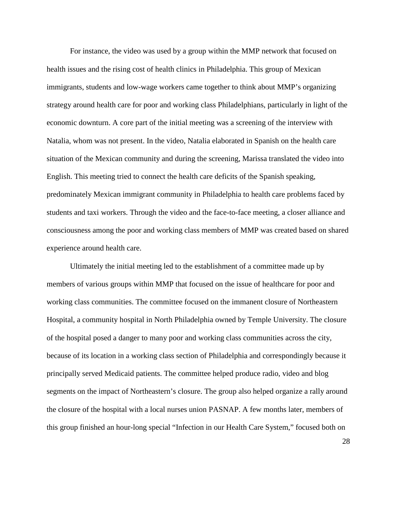For instance, the video was used by a group within the MMP network that focused on health issues and the rising cost of health clinics in Philadelphia. This group of Mexican immigrants, students and low-wage workers came together to think about MMP's organizing strategy around health care for poor and working class Philadelphians, particularly in light of the economic downturn. A core part of the initial meeting was a screening of the interview with Natalia, whom was not present. In the video, Natalia elaborated in Spanish on the health care situation of the Mexican community and during the screening, Marissa translated the video into English. This meeting tried to connect the health care deficits of the Spanish speaking, predominately Mexican immigrant community in Philadelphia to health care problems faced by students and taxi workers. Through the video and the face-to-face meeting, a closer alliance and consciousness among the poor and working class members of MMP was created based on shared experience around health care.

Ultimately the initial meeting led to the establishment of a committee made up by members of various groups within MMP that focused on the issue of healthcare for poor and working class communities. The committee focused on the immanent closure of Northeastern Hospital, a community hospital in North Philadelphia owned by Temple University. The closure of the hospital posed a danger to many poor and working class communities across the city, because of its location in a working class section of Philadelphia and correspondingly because it principally served Medicaid patients. The committee helped produce radio, video and blog segments on the impact of Northeastern's closure. The group also helped organize a rally around the closure of the hospital with a local nurses union PASNAP. A few months later, members of this group finished an hour-long special "Infection in our Health Care System," focused both on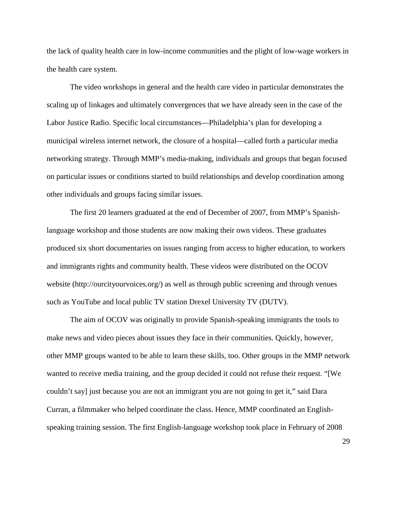the lack of quality health care in low-income communities and the plight of low-wage workers in the health care system.

The video workshops in general and the health care video in particular demonstrates the scaling up of linkages and ultimately convergences that we have already seen in the case of the Labor Justice Radio. Specific local circumstances—Philadelphia's plan for developing a municipal wireless internet network, the closure of a hospital—called forth a particular media networking strategy. Through MMP's media-making, individuals and groups that began focused on particular issues or conditions started to build relationships and develop coordination among other individuals and groups facing similar issues.

The first 20 learners graduated at the end of December of 2007, from MMP's Spanishlanguage workshop and those students are now making their own videos. These graduates produced six short documentaries on issues ranging from access to higher education, to workers and immigrants rights and community health. These videos were distributed on the OCOV website (http://ourcityourvoices.org/) as well as through public screening and through venues such as YouTube and local public TV station Drexel University TV (DUTV).

The aim of OCOV was originally to provide Spanish-speaking immigrants the tools to make news and video pieces about issues they face in their communities. Quickly, however, other MMP groups wanted to be able to learn these skills, too. Other groups in the MMP network wanted to receive media training, and the group decided it could not refuse their request. "[We couldn't say] just because you are not an immigrant you are not going to get it," said Dara Curran, a filmmaker who helped coordinate the class. Hence, MMP coordinated an Englishspeaking training session. The first English-language workshop took place in February of 2008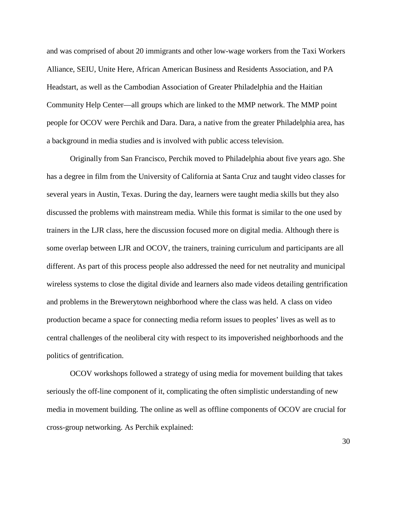and was comprised of about 20 immigrants and other low-wage workers from the Taxi Workers Alliance, SEIU, Unite Here, African American Business and Residents Association, and PA Headstart, as well as the Cambodian Association of Greater Philadelphia and the Haitian Community Help Center—all groups which are linked to the MMP network. The MMP point people for OCOV were Perchik and Dara. Dara, a native from the greater Philadelphia area, has a background in media studies and is involved with public access television.

Originally from San Francisco, Perchik moved to Philadelphia about five years ago. She has a degree in film from the University of California at Santa Cruz and taught video classes for several years in Austin, Texas. During the day, learners were taught media skills but they also discussed the problems with mainstream media. While this format is similar to the one used by trainers in the LJR class, here the discussion focused more on digital media. Although there is some overlap between LJR and OCOV, the trainers, training curriculum and participants are all different. As part of this process people also addressed the need for net neutrality and municipal wireless systems to close the digital divide and learners also made videos detailing gentrification and problems in the Brewerytown neighborhood where the class was held. A class on video production became a space for connecting media reform issues to peoples' lives as well as to central challenges of the neoliberal city with respect to its impoverished neighborhoods and the politics of gentrification.

OCOV workshops followed a strategy of using media for movement building that takes seriously the off-line component of it, complicating the often simplistic understanding of new media in movement building. The online as well as offline components of OCOV are crucial for cross-group networking. As Perchik explained: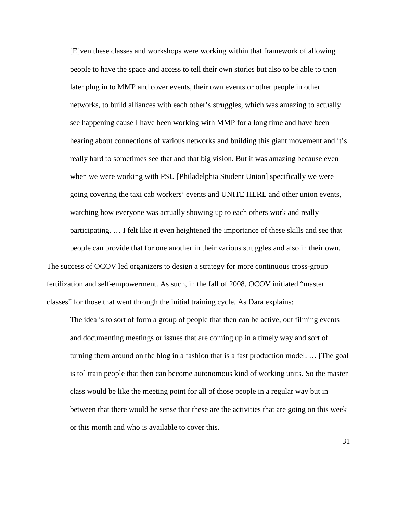[E]ven these classes and workshops were working within that framework of allowing people to have the space and access to tell their own stories but also to be able to then later plug in to MMP and cover events, their own events or other people in other networks, to build alliances with each other's struggles, which was amazing to actually see happening cause I have been working with MMP for a long time and have been hearing about connections of various networks and building this giant movement and it's really hard to sometimes see that and that big vision. But it was amazing because even when we were working with PSU [Philadelphia Student Union] specifically we were going covering the taxi cab workers' events and UNITE HERE and other union events, watching how everyone was actually showing up to each others work and really participating. … I felt like it even heightened the importance of these skills and see that people can provide that for one another in their various struggles and also in their own.

The success of OCOV led organizers to design a strategy for more continuous cross-group fertilization and self-empowerment. As such, in the fall of 2008, OCOV initiated "master classes" for those that went through the initial training cycle. As Dara explains:

The idea is to sort of form a group of people that then can be active, out filming events and documenting meetings or issues that are coming up in a timely way and sort of turning them around on the blog in a fashion that is a fast production model. … [The goal is to] train people that then can become autonomous kind of working units. So the master class would be like the meeting point for all of those people in a regular way but in between that there would be sense that these are the activities that are going on this week or this month and who is available to cover this.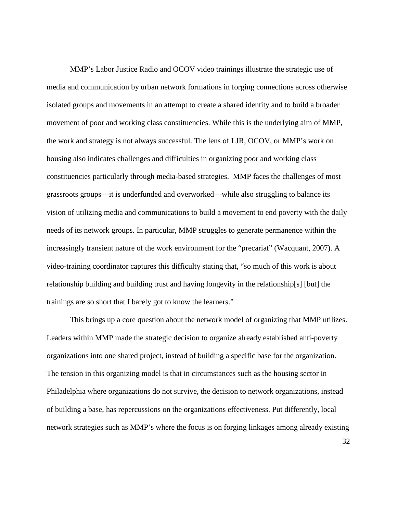MMP's Labor Justice Radio and OCOV video trainings illustrate the strategic use of media and communication by urban network formations in forging connections across otherwise isolated groups and movements in an attempt to create a shared identity and to build a broader movement of poor and working class constituencies. While this is the underlying aim of MMP, the work and strategy is not always successful. The lens of LJR, OCOV, or MMP's work on housing also indicates challenges and difficulties in organizing poor and working class constituencies particularly through media-based strategies. MMP faces the challenges of most grassroots groups—it is underfunded and overworked—while also struggling to balance its vision of utilizing media and communications to build a movement to end poverty with the daily needs of its network groups. In particular, MMP struggles to generate permanence within the increasingly transient nature of the work environment for the "precariat" (Wacquant, 2007). A video-training coordinator captures this difficulty stating that, "so much of this work is about relationship building and building trust and having longevity in the relationship[s] [but] the trainings are so short that I barely got to know the learners."

This brings up a core question about the network model of organizing that MMP utilizes. Leaders within MMP made the strategic decision to organize already established anti-poverty organizations into one shared project, instead of building a specific base for the organization. The tension in this organizing model is that in circumstances such as the housing sector in Philadelphia where organizations do not survive, the decision to network organizations, instead of building a base, has repercussions on the organizations effectiveness. Put differently, local network strategies such as MMP's where the focus is on forging linkages among already existing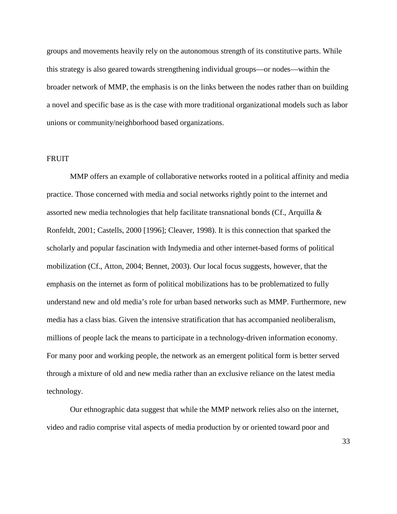groups and movements heavily rely on the autonomous strength of its constitutive parts. While this strategy is also geared towards strengthening individual groups—or nodes—within the broader network of MMP, the emphasis is on the links between the nodes rather than on building a novel and specific base as is the case with more traditional organizational models such as labor unions or community/neighborhood based organizations.

#### FRUIT

MMP offers an example of collaborative networks rooted in a political affinity and media practice. Those concerned with media and social networks rightly point to the internet and assorted new media technologies that help facilitate transnational bonds (Cf., Arquilla  $\&$ Ronfeldt, 2001; Castells, 2000 [1996]; Cleaver, 1998). It is this connection that sparked the scholarly and popular fascination with Indymedia and other internet-based forms of political mobilization (Cf., Atton, 2004; Bennet, 2003). Our local focus suggests, however, that the emphasis on the internet as form of political mobilizations has to be problematized to fully understand new and old media's role for urban based networks such as MMP. Furthermore, new media has a class bias. Given the intensive stratification that has accompanied neoliberalism, millions of people lack the means to participate in a technology-driven information economy. For many poor and working people, the network as an emergent political form is better served through a mixture of old and new media rather than an exclusive reliance on the latest media technology.

Our ethnographic data suggest that while the MMP network relies also on the internet, video and radio comprise vital aspects of media production by or oriented toward poor and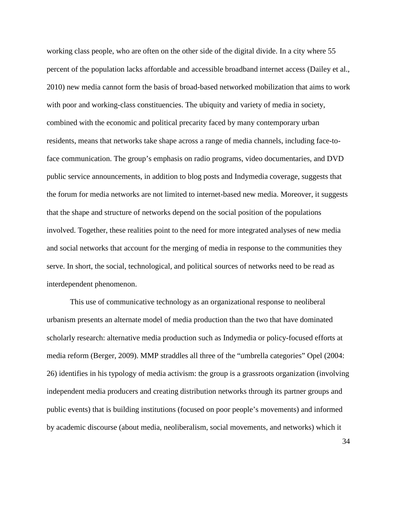working class people, who are often on the other side of the digital divide. In a city where 55 percent of the population lacks affordable and accessible broadband internet access (Dailey et al., 2010) new media cannot form the basis of broad-based networked mobilization that aims to work with poor and working-class constituencies. The ubiquity and variety of media in society, combined with the economic and political precarity faced by many contemporary urban residents, means that networks take shape across a range of media channels, including face-toface communication. The group's emphasis on radio programs, video documentaries, and DVD public service announcements, in addition to blog posts and Indymedia coverage, suggests that the forum for media networks are not limited to internet-based new media. Moreover, it suggests that the shape and structure of networks depend on the social position of the populations involved. Together, these realities point to the need for more integrated analyses of new media and social networks that account for the merging of media in response to the communities they serve. In short, the social, technological, and political sources of networks need to be read as interdependent phenomenon.

This use of communicative technology as an organizational response to neoliberal urbanism presents an alternate model of media production than the two that have dominated scholarly research: alternative media production such as Indymedia or policy-focused efforts at media reform (Berger, 2009). MMP straddles all three of the "umbrella categories" Opel (2004: 26) identifies in his typology of media activism: the group is a grassroots organization (involving independent media producers and creating distribution networks through its partner groups and public events) that is building institutions (focused on poor people's movements) and informed by academic discourse (about media, neoliberalism, social movements, and networks) which it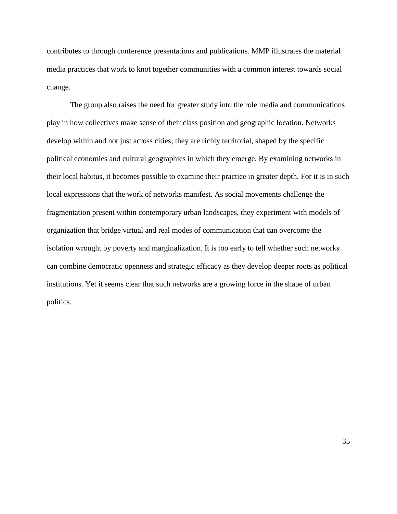contributes to through conference presentations and publications. MMP illustrates the material media practices that work to knot together communities with a common interest towards social change.

The group also raises the need for greater study into the role media and communications play in how collectives make sense of their class position and geographic location. Networks develop within and not just across cities; they are richly territorial, shaped by the specific political economies and cultural geographies in which they emerge. By examining networks in their local habitus, it becomes possible to examine their practice in greater depth. For it is in such local expressions that the work of networks manifest. As social movements challenge the fragmentation present within contemporary urban landscapes, they experiment with models of organization that bridge virtual and real modes of communication that can overcome the isolation wrought by poverty and marginalization. It is too early to tell whether such networks can combine democratic openness and strategic efficacy as they develop deeper roots as political institutions. Yet it seems clear that such networks are a growing force in the shape of urban politics.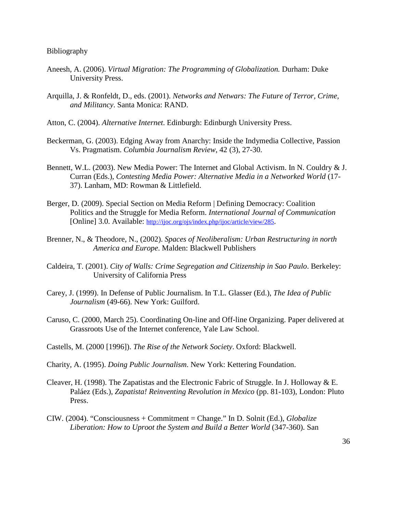#### Bibliography

- Aneesh, A. (2006). *Virtual Migration: The Programming of Globalization.* Durham: Duke University Press.
- Arquilla, J. & Ronfeldt, D., eds. (2001). *Networks and Netwars: The Future of Terror, Crime, and Militancy*. Santa Monica: RAND.
- Atton, C. (2004). *Alternative Internet*. Edinburgh: Edinburgh University Press.
- Beckerman, G. (2003). Edging Away from Anarchy: Inside the Indymedia Collective, Passion Vs. Pragmatism. *Columbia Journalism Review*, 42 (3), 27-30.
- Bennett, W.L. (2003). New Media Power: The Internet and Global Activism. In N. Couldry & J. Curran (Eds.), *Contesting Media Power: Alternative Media in a Networked World* (17- 37). Lanham, MD: Rowman & Littlefield.
- Berger, D. (2009). Special Section on Media Reform | Defining Democracy: Coalition Politics and the Struggle for Media Reform. *International Journal of Communication* [Online] 3.0. Available: [http://ijoc.org/ojs/index.php/ijoc/article/view/285.](http://ijoc.org/ojs/index.php/ijoc/article/view/285)
- Brenner, N., & Theodore, N., (2002). *Spaces of Neoliberalism: Urban Restructuring in north America and Europe*. Malden: Blackwell Publishers
- Caldeira, T. (2001). *City of Walls: Crime Segregation and Citizenship in Sao Paulo*. Berkeley: University of California Press
- Carey, J. (1999). In Defense of Public Journalism. In T.L. Glasser (Ed.), *The Idea of Public Journalism* (49-66). New York: Guilford.
- Caruso, C. (2000, March 25). Coordinating On-line and Off-line Organizing. Paper delivered at Grassroots Use of the Internet conference, Yale Law School.
- Castells, M. (2000 [1996]). *The Rise of the Network Society*. Oxford: Blackwell.
- Charity, A. (1995). *Doing Public Journalism*. New York: Kettering Foundation.
- Cleaver, H. (1998). The Zapatistas and the Electronic Fabric of Struggle. In J. Holloway & E. Paláez (Eds.), *Zapatista! Reinventing Revolution in Mexico* (pp. 81-103), London: Pluto Press.
- CIW. (2004). "Consciousness + Commitment = Change." In D. Solnit (Ed.), *Globalize Liberation: How to Uproot the System and Build a Better World* (347-360). San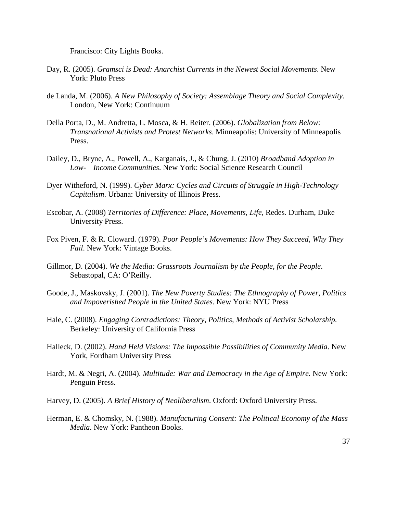Francisco: City Lights Books.

- Day, R. (2005). *Gramsci is Dead: Anarchist Currents in the Newest Social Movements*. New York: Pluto Press
- de Landa, M. (2006). *A New Philosophy of Society: Assemblage Theory and Social Complexity.*  London, New York: Continuum
- Della Porta, D., M. Andretta, L. Mosca, & H. Reiter. (2006). *Globalization from Below: Transnational Activists and Protest Networks*. Minneapolis: University of Minneapolis Press.
- Dailey, D., Bryne, A., Powell, A., Karganais, J., & Chung, J. (2010) *Broadband Adoption in Low- Income Communities*. New York: Social Science Research Council
- Dyer Witheford, N. (1999). *Cyber Marx: Cycles and Circuits of Struggle in High-Technology Capitalism*. Urbana: University of Illinois Press.
- Escobar, A. (2008) *Territories of Difference: Place, Movements, Life,* Redes. Durham, Duke University Press.
- Fox Piven, F. & R. Cloward. (1979). *Poor People's Movements: How They Succeed, Why They Fail*. New York: Vintage Books.
- Gillmor, D. (2004). *We the Media: Grassroots Journalism by the People, for the People*. Sebastopal, CA: O'Reilly.
- Goode, J., Maskovsky, J. (2001). *The New Poverty Studies: The Ethnography of Power, Politics and Impoverished People in the United States*. New York: NYU Press
- Hale, C. (2008). *Engaging Contradictions: Theory, Politics, Methods of Activist Scholarship.*  Berkeley: University of California Press
- Halleck, D. (2002). *Hand Held Visions: The Impossible Possibilities of Community Media*. New York, Fordham University Press
- Hardt, M. & Negri, A. (2004). *Multitude: War and Democracy in the Age of Empire.* New York: Penguin Press.
- Harvey, D. (2005). *A Brief History of Neoliberalism*. Oxford: Oxford University Press.
- Herman, E. & Chomsky, N. (1988). *Manufacturing Consent: The Political Economy of the Mass Media*. New York: Pantheon Books.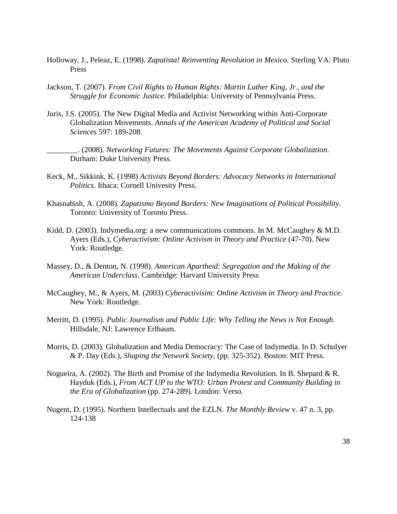- Holloway, J., Peleaz, E. (1998). *Zapatista! Reinventing Revolution in Mexico.* Sterling VA: Pluto Press
- Jackson, T. (2007). *From Civil Rights to Human Rights: Martin Luther King, Jr., and the Struggle for Economic Justice*. Philadelphia: University of Pennsylvania Press.
- Juris, J.S. (2005). The New Digital Media and Activist Networking within Anti-Corporate Globalization Movements. *Annals of the American Academy of Political and Social Sciences* 597: 189-208.
	- \_\_\_\_\_\_\_\_. (2008). *Networking Futures: The Movements Against Corporate Globalization*. Durham: Duke University Press.
- Keck, M., Sikkink, K. (1998) *Activists Beyond Borders: Advocacy Networks in International Politics*. Ithaca: Cornell Univesity Press.
- Khasnabish, A. (2008). *Zapatismo Beyond Borders: New Imaginations of Political Possibility*. Toronto: University of Toronto Press.
- Kidd, D. (2003). Indymedia.org: a new communications commons. In M. McCaughey & M.D. Ayers (Eds.), *Cyberactivism: Online Activism in Theory and Practice* (47-70). New York: Routledge.
- Massey, D., & Denton, N. (1998). *American Apartheid: Segregation and the Making of the American Underclass*. Cambridge: Harvard University Press
- McCaughey, M., & Ayers, M. (2003) *Cyberactivisim: Online Activism in Theory and Practice.* New York: Routledge.
- Merritt, D. (1995). *Public Journalism and Public Life: Why Telling the News is Not Enough*. Hillsdale, NJ: Lawrence Erlbaum.
- Morris, D. (2003). Globalization and Media Democracy: The Case of Indymedia. In D. Schulyer & P. Day (Eds.), *Shaping the Network Society*, (pp. 325-352). Boston: MIT Press.
- Nogueira, A. (2002). The Birth and Promise of the Indymedia Revolution. In B. Shepard & R. Hayduk (Eds.), *From ACT UP to the WTO: Urban Protest and Community Building in the Era of Globalization* (pp. 274-289). London: Verso.
- Nugent, D. (1995). Northern Intellectuals and the EZLN. *The Monthly Review* v. 47 n. 3, pp. 124-138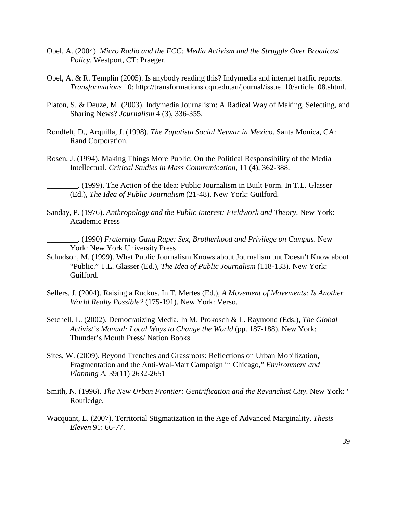- Opel, A. (2004). *Micro Radio and the FCC: Media Activism and the Struggle Over Broadcast Policy*. Westport, CT: Praeger.
- Opel, A. & R. Templin (2005). Is anybody reading this? Indymedia and internet traffic reports. *Transformations* 10: http://transformations.cqu.edu.au/journal/issue\_10/article\_08.shtml.
- Platon, S. & Deuze, M. (2003). Indymedia Journalism: A Radical Way of Making, Selecting, and Sharing News? *Journalism* 4 (3), 336-355.
- Rondfelt, D., Arquilla, J. (1998). *The Zapatista Social Netwar in Mexico*. Santa Monica, CA: Rand Corporation.
- Rosen, J. (1994). Making Things More Public: On the Political Responsibility of the Media Intellectual. *Critical Studies in Mass Communication*, 11 (4), 362-388.
	- \_\_\_\_\_\_\_\_. (1999). The Action of the Idea: Public Journalism in Built Form. In T.L. Glasser (Ed.), *The Idea of Public Journalism* (21-48). New York: Guilford.
- Sanday, P. (1976). *Anthropology and the Public Interest: Fieldwork and Theory*. New York: Academic Press
	- \_\_\_\_\_\_\_\_. (1990) *Fraternity Gang Rape: Sex, Brotherhood and Privilege on Campus*. New York: New York University Press
- Schudson, M. (1999). What Public Journalism Knows about Journalism but Doesn't Know about "Public." T.L. Glasser (Ed.), *The Idea of Public Journalism* (118-133). New York: Guilford.
- Sellers, J. (2004). Raising a Ruckus. In T. Mertes (Ed.), *A Movement of Movements: Is Another World Really Possible?* (175-191). New York: Verso.
- Setchell, L. (2002). Democratizing Media. In M. Prokosch & L. Raymond (Eds.), *The Global Activist's Manual: Local Ways to Change the World* (pp. 187-188). New York: Thunder's Mouth Press/ Nation Books.
- Sites, W. (2009). Beyond Trenches and Grassroots: Reflections on Urban Mobilization, Fragmentation and the Anti-Wal-Mart Campaign in Chicago," *Environment and Planning A.* 39(11) 2632-2651
- Smith, N. (1996). *The New Urban Frontier: Gentrification and the Revanchist City*. New York: ' Routledge.
- Wacquant, L. (2007). Territorial Stigmatization in the Age of Advanced Marginality. *Thesis Eleven* 91: 66-77.